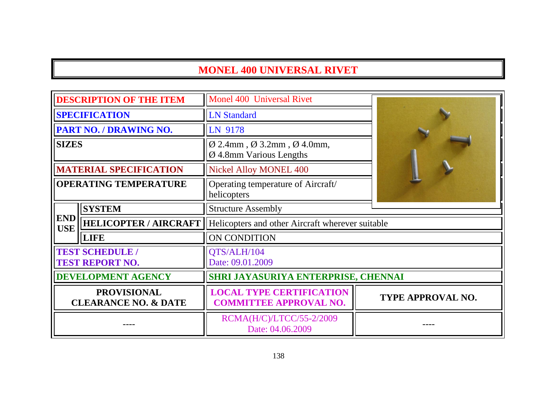# **MONEL 400 UNIVERSAL RIVET**

| <b>DESCRIPTION OF THE ITEM</b>                        |                                                  | Monel 400 Universal Rivet                                                                             |                          |
|-------------------------------------------------------|--------------------------------------------------|-------------------------------------------------------------------------------------------------------|--------------------------|
| <b>SPECIFICATION</b>                                  |                                                  | <b>LN Standard</b>                                                                                    |                          |
| <b>PART NO. / DRAWING NO.</b>                         |                                                  | LN 9178                                                                                               |                          |
| <b>SIZES</b>                                          |                                                  | $\varnothing$ 2.4mm, $\varnothing$ 3.2mm, $\varnothing$ 4.0mm,<br>$\varnothing$ 4.8mm Various Lengths |                          |
|                                                       | <b>MATERIAL SPECIFICATION</b>                    | <b>Nickel Alloy MONEL 400</b>                                                                         |                          |
| <b>OPERATING TEMPERATURE</b>                          |                                                  | Operating temperature of Aircraft/<br>helicopters                                                     |                          |
|                                                       | <b>SYSTEM</b>                                    | <b>Structure Assembly</b>                                                                             |                          |
| <b>END</b><br><b>USE</b>                              | <b>HELICOPTER / AIRCRAFT</b>                     | Helicopters and other Aircraft wherever suitable                                                      |                          |
|                                                       | <b>LIFE</b>                                      | ON CONDITION                                                                                          |                          |
|                                                       | <b>TEST SCHEDULE /</b><br><b>TEST REPORT NO.</b> | QTS/ALH/104<br>Date: 09.01.2009                                                                       |                          |
| <b>DEVELOPMENT AGENCY</b>                             |                                                  | SHRI JAYASURIYA ENTERPRISE, CHENNAI                                                                   |                          |
| <b>PROVISIONAL</b><br><b>CLEARANCE NO. &amp; DATE</b> |                                                  | <b>LOCAL TYPE CERTIFICATION</b><br><b>COMMITTEE APPROVAL NO.</b>                                      | <b>TYPE APPROVAL NO.</b> |
|                                                       |                                                  | RCMA(H/C)/LTCC/55-2/2009<br>Date: 04.06.2009                                                          |                          |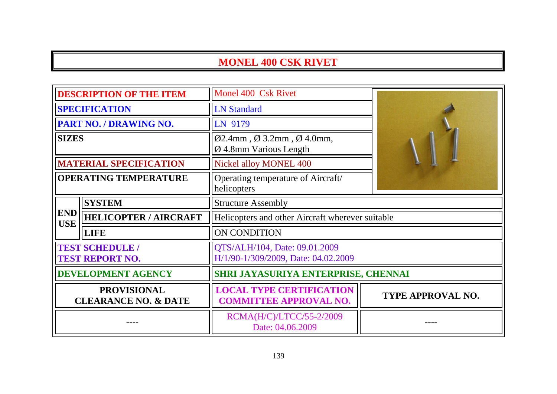# **MONEL 400 CSK RIVET**

| <b>DESCRIPTION OF THE ITEM</b>                        |                                                  | Monel 400 Csk Rivet                                                                                  |                          |
|-------------------------------------------------------|--------------------------------------------------|------------------------------------------------------------------------------------------------------|--------------------------|
| <b>SPECIFICATION</b>                                  |                                                  | <b>LN</b> Standard                                                                                   |                          |
|                                                       | PART NO. / DRAWING NO.                           | LN 9179                                                                                              |                          |
| <b>SIZES</b>                                          |                                                  | $\varnothing$ 2.4mm, $\varnothing$ 3.2mm, $\varnothing$ 4.0mm,<br>$\varnothing$ 4.8mm Various Length |                          |
|                                                       | <b>MATERIAL SPECIFICATION</b>                    | Nickel alloy MONEL 400                                                                               |                          |
| <b>OPERATING TEMPERATURE</b>                          |                                                  | Operating temperature of Aircraft/<br>helicopters                                                    |                          |
|                                                       | <b>SYSTEM</b>                                    | <b>Structure Assembly</b>                                                                            |                          |
| <b>END</b><br><b>USE</b>                              | <b>HELICOPTER / AIRCRAFT</b>                     | Helicopters and other Aircraft wherever suitable                                                     |                          |
|                                                       | <b>LIFE</b>                                      | ON CONDITION                                                                                         |                          |
|                                                       | <b>TEST SCHEDULE /</b><br><b>TEST REPORT NO.</b> | QTS/ALH/104, Date: 09.01.2009<br>H/1/90-1/309/2009, Date: 04.02.2009                                 |                          |
| <b>DEVELOPMENT AGENCY</b>                             |                                                  | SHRI JAYASURIYA ENTERPRISE, CHENNAI                                                                  |                          |
| <b>PROVISIONAL</b><br><b>CLEARANCE NO. &amp; DATE</b> |                                                  | <b>LOCAL TYPE CERTIFICATION</b><br><b>COMMITTEE APPROVAL NO.</b>                                     | <b>TYPE APPROVAL NO.</b> |
|                                                       |                                                  | RCMA(H/C)/LTCC/55-2/2009<br>Date: 04.06.2009                                                         |                          |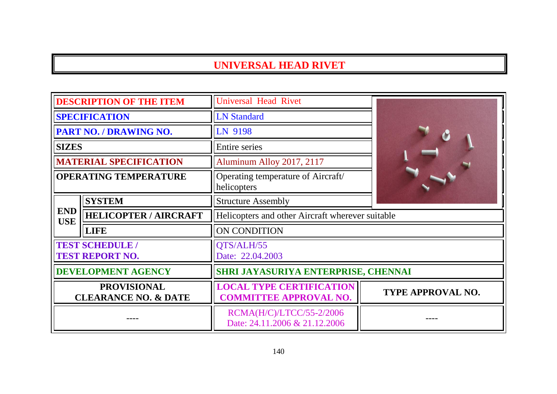### **UNIVERSAL HEAD RIVET**

| <b>DESCRIPTION OF THE ITEM</b>                        |                               | <b>Universal Head Rivet</b>                                      |                   |
|-------------------------------------------------------|-------------------------------|------------------------------------------------------------------|-------------------|
| <b>SPECIFICATION</b>                                  |                               | <b>LN Standard</b>                                               |                   |
| PART NO. / DRAWING NO.                                |                               | LN 9198                                                          |                   |
| <b>SIZES</b>                                          |                               | Entire series                                                    |                   |
|                                                       | <b>MATERIAL SPECIFICATION</b> | Aluminum Alloy 2017, 2117                                        |                   |
| <b>OPERATING TEMPERATURE</b>                          |                               | Operating temperature of Aircraft/<br>helicopters                |                   |
|                                                       | <b>SYSTEM</b>                 | <b>Structure Assembly</b>                                        |                   |
| <b>END</b><br><b>USE</b>                              | <b>HELICOPTER / AIRCRAFT</b>  | Helicopters and other Aircraft wherever suitable                 |                   |
|                                                       | <b>LIFE</b>                   | ON CONDITION                                                     |                   |
| <b>TEST SCHEDULE /</b><br><b>TEST REPORT NO.</b>      |                               | QTS/ALH/55<br>Date: 22.04.2003                                   |                   |
| <b>DEVELOPMENT AGENCY</b>                             |                               | SHRI JAYASURIYA ENTERPRISE, CHENNAI                              |                   |
| <b>PROVISIONAL</b><br><b>CLEARANCE NO. &amp; DATE</b> |                               | <b>LOCAL TYPE CERTIFICATION</b><br><b>COMMITTEE APPROVAL NO.</b> | TYPE APPROVAL NO. |
|                                                       |                               | RCMA(H/C)/LTCC/55-2/2006<br>Date: 24.11.2006 & 21.12.2006        |                   |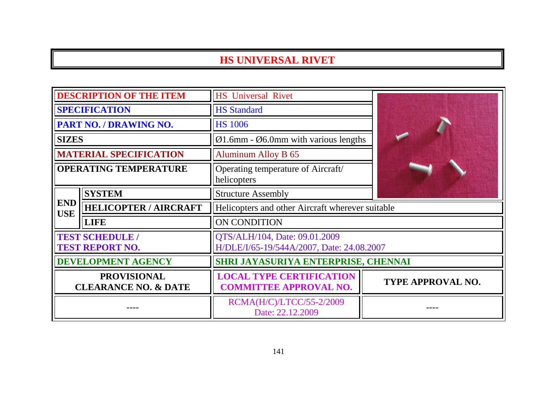### **HS UNIVERSAL RIVET**

| <b>DESCRIPTION OF THE ITEM</b>                        |                                                  | <b>HS</b> Universal Rivet                                                  |                          |
|-------------------------------------------------------|--------------------------------------------------|----------------------------------------------------------------------------|--------------------------|
| <b>SPECIFICATION</b>                                  |                                                  | <b>HS Standard</b>                                                         |                          |
|                                                       | PART NO. / DRAWING NO.                           | <b>HS 1006</b>                                                             |                          |
| <b>SIZES</b>                                          |                                                  | $\varnothing$ 1.6mm - $\varnothing$ 6.0mm with various lengths             |                          |
|                                                       | <b>MATERIAL SPECIFICATION</b>                    | <b>Aluminum Alloy B 65</b>                                                 |                          |
| <b>OPERATING TEMPERATURE</b>                          |                                                  | Operating temperature of Aircraft/<br>helicopters                          |                          |
|                                                       | <b>SYSTEM</b>                                    | <b>Structure Assembly</b>                                                  |                          |
| <b>END</b><br><b>USE</b>                              | <b>HELICOPTER / AIRCRAFT</b>                     | Helicopters and other Aircraft wherever suitable                           |                          |
|                                                       | <b>LIFE</b>                                      | ON CONDITION                                                               |                          |
|                                                       | <b>TEST SCHEDULE /</b><br><b>TEST REPORT NO.</b> | QTS/ALH/104, Date: 09.01.2009<br>H/DLE/I/65-19/544A/2007, Date: 24.08.2007 |                          |
| <b>DEVELOPMENT AGENCY</b>                             |                                                  | SHRI JAYASURIYA ENTERPRISE, CHENNAI                                        |                          |
| <b>PROVISIONAL</b><br><b>CLEARANCE NO. &amp; DATE</b> |                                                  | <b>LOCAL TYPE CERTIFICATION</b><br><b>COMMITTEE APPROVAL NO.</b>           | <b>TYPE APPROVAL NO.</b> |
|                                                       |                                                  | RCMA(H/C)/LTCC/55-2/2009<br>Date: 22.12.2009                               |                          |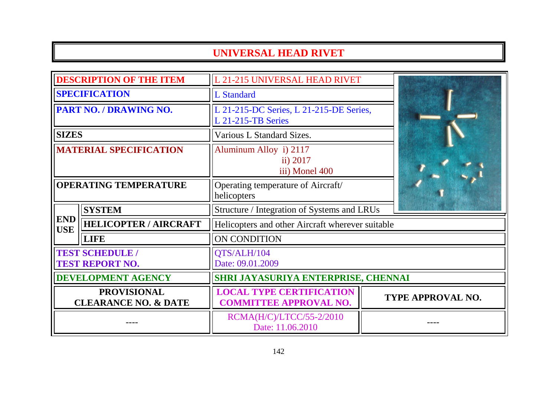# **UNIVERSAL HEAD RIVET**

| <b>DESCRIPTION OF THE ITEM</b>                        |                              | L 21-215 UNIVERSAL HEAD RIVET                                        |                   |
|-------------------------------------------------------|------------------------------|----------------------------------------------------------------------|-------------------|
| <b>SPECIFICATION</b>                                  |                              | L Standard                                                           |                   |
| PART NO. / DRAWING NO.                                |                              | L 21-215-DC Series, L 21-215-DE Series,<br><b>L 21-215-TB Series</b> |                   |
| <b>SIZES</b>                                          |                              | Various L Standard Sizes.                                            |                   |
| <b>MATERIAL SPECIFICATION</b>                         |                              | Aluminum Alloy i) 2117<br>ii) 2017<br>iii) Monel 400                 |                   |
| <b>OPERATING TEMPERATURE</b>                          |                              | Operating temperature of Aircraft/<br>helicopters                    |                   |
|                                                       | <b>SYSTEM</b>                | Structure / Integration of Systems and LRUs                          |                   |
| <b>END</b><br><b>USE</b>                              | <b>HELICOPTER / AIRCRAFT</b> | Helicopters and other Aircraft wherever suitable                     |                   |
|                                                       | <b>LIFE</b>                  | ON CONDITION                                                         |                   |
| <b>TEST SCHEDULE /</b><br><b>TEST REPORT NO.</b>      |                              | QTS/ALH/104<br>Date: 09.01.2009                                      |                   |
| <b>DEVELOPMENT AGENCY</b>                             |                              | SHRI JAYASURIYA ENTERPRISE, CHENNAI                                  |                   |
| <b>PROVISIONAL</b><br><b>CLEARANCE NO. &amp; DATE</b> |                              | <b>LOCAL TYPE CERTIFICATION</b><br><b>COMMITTEE APPROVAL NO.</b>     | TYPE APPROVAL NO. |
|                                                       |                              | RCMA(H/C)/LTCC/55-2/2010<br>Date: 11.06.2010                         |                   |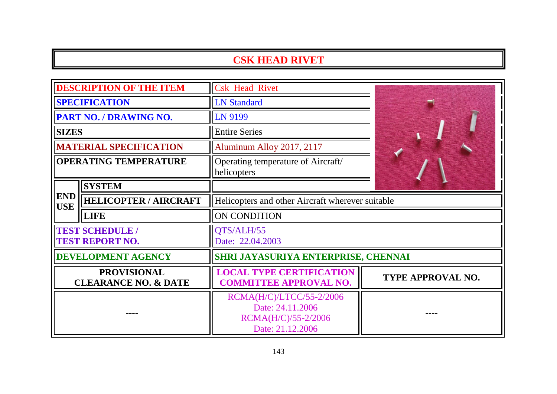### **CSK HEAD RIVET**

|                                                       | <b>DESCRIPTION OF THE ITEM</b> | <b>Csk Head Rivet</b>                                                                   |                          |
|-------------------------------------------------------|--------------------------------|-----------------------------------------------------------------------------------------|--------------------------|
| <b>SPECIFICATION</b>                                  |                                | <b>LN Standard</b>                                                                      |                          |
| PART NO. / DRAWING NO.                                |                                | LN 9199                                                                                 |                          |
| <b>SIZES</b>                                          |                                | <b>Entire Series</b>                                                                    |                          |
|                                                       | <b>MATERIAL SPECIFICATION</b>  | Aluminum Alloy 2017, 2117                                                               |                          |
| <b>OPERATING TEMPERATURE</b>                          |                                | Operating temperature of Aircraft/<br>helicopters                                       |                          |
|                                                       | <b>SYSTEM</b>                  |                                                                                         |                          |
| <b>END</b><br><b>USE</b>                              | <b>HELICOPTER / AIRCRAFT</b>   | Helicopters and other Aircraft wherever suitable                                        |                          |
|                                                       | <b>LIFE</b>                    | ON CONDITION                                                                            |                          |
| <b>TEST SCHEDULE /</b><br><b>TEST REPORT NO.</b>      |                                | QTS/ALH/55<br>Date: 22.04.2003                                                          |                          |
|                                                       | <b>DEVELOPMENT AGENCY</b>      | SHRI JAYASURIYA ENTERPRISE, CHENNAI                                                     |                          |
| <b>PROVISIONAL</b><br><b>CLEARANCE NO. &amp; DATE</b> |                                | <b>LOCAL TYPE CERTIFICATION</b><br><b>COMMITTEE APPROVAL NO.</b>                        | <b>TYPE APPROVAL NO.</b> |
|                                                       |                                | RCMA(H/C)/LTCC/55-2/2006<br>Date: 24.11.2006<br>RCMA(H/C)/55-2/2006<br>Date: 21.12.2006 |                          |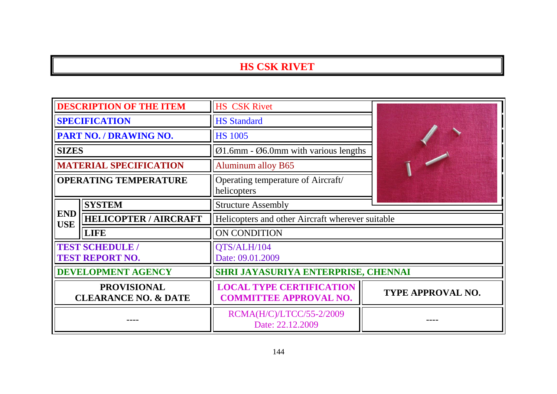### **HS CSK RIVET**

| <b>DESCRIPTION OF THE ITEM</b>                        |                                                  | <b>HS CSK Rivet</b>                                              |                          |
|-------------------------------------------------------|--------------------------------------------------|------------------------------------------------------------------|--------------------------|
| <b>SPECIFICATION</b>                                  |                                                  | <b>HS Standard</b>                                               |                          |
|                                                       | <b>PART NO. / DRAWING NO.</b>                    | <b>HS 1005</b>                                                   |                          |
| <b>SIZES</b>                                          |                                                  | $\varnothing$ 1.6mm - $\varnothing$ 6.0mm with various lengths   |                          |
|                                                       | <b>MATERIAL SPECIFICATION</b>                    | <b>Aluminum alloy B65</b>                                        |                          |
| <b>OPERATING TEMPERATURE</b>                          |                                                  | Operating temperature of Aircraft/<br>helicopters                |                          |
|                                                       | <b>SYSTEM</b>                                    | <b>Structure Assembly</b>                                        |                          |
| <b>END</b><br><b>USE</b>                              | <b>HELICOPTER / AIRCRAFT</b>                     | Helicopters and other Aircraft wherever suitable                 |                          |
|                                                       | <b>LIFE</b>                                      | ON CONDITION                                                     |                          |
|                                                       | <b>TEST SCHEDULE /</b><br><b>TEST REPORT NO.</b> | QTS/ALH/104<br>Date: 09.01.2009                                  |                          |
| <b>DEVELOPMENT AGENCY</b>                             |                                                  | SHRI JAYASURIYA ENTERPRISE, CHENNAI                              |                          |
| <b>PROVISIONAL</b><br><b>CLEARANCE NO. &amp; DATE</b> |                                                  | <b>LOCAL TYPE CERTIFICATION</b><br><b>COMMITTEE APPROVAL NO.</b> | <b>TYPE APPROVAL NO.</b> |
|                                                       |                                                  | RCMA(H/C)/LTCC/55-2/2009<br>Date: 22.12.2009                     |                          |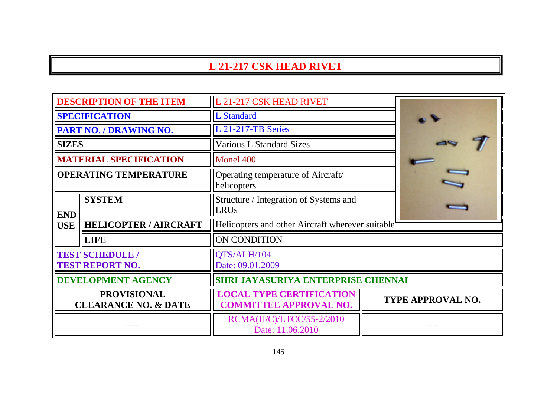# **L 21-217 CSK HEAD RIVET**

| <b>DESCRIPTION OF THE ITEM</b>                        |                                                  | L 21-217 CSK HEAD RIVET                                          |                   |
|-------------------------------------------------------|--------------------------------------------------|------------------------------------------------------------------|-------------------|
| <b>SPECIFICATION</b>                                  |                                                  | <b>L</b> Standard                                                |                   |
|                                                       | <b>PART NO. / DRAWING NO.</b>                    | L 21-217-TB Series                                               |                   |
| <b>SIZES</b>                                          |                                                  | <b>Various L Standard Sizes</b>                                  |                   |
|                                                       | <b>MATERIAL SPECIFICATION</b>                    | Monel 400                                                        |                   |
| <b>OPERATING TEMPERATURE</b>                          |                                                  | Operating temperature of Aircraft/<br>helicopters                |                   |
| <b>END</b>                                            | <b>SYSTEM</b>                                    | Structure / Integration of Systems and<br><b>LRUs</b>            |                   |
| <b>USE</b>                                            | <b>HELICOPTER / AIRCRAFT</b>                     | Helicopters and other Aircraft wherever suitable                 |                   |
|                                                       | <b>LIFE</b>                                      | ON CONDITION                                                     |                   |
|                                                       | <b>TEST SCHEDULE /</b><br><b>TEST REPORT NO.</b> | QTS/ALH/104<br>Date: 09.01.2009                                  |                   |
|                                                       | <b>DEVELOPMENT AGENCY</b>                        | <b>SHRI JAYASURIYA ENTERPRISE CHENNAI</b>                        |                   |
| <b>PROVISIONAL</b><br><b>CLEARANCE NO. &amp; DATE</b> |                                                  | <b>LOCAL TYPE CERTIFICATION</b><br><b>COMMITTEE APPROVAL NO.</b> | TYPE APPROVAL NO. |
|                                                       |                                                  | RCMA(H/C)/LTCC/55-2/2010<br>Date: 11.06.2010                     |                   |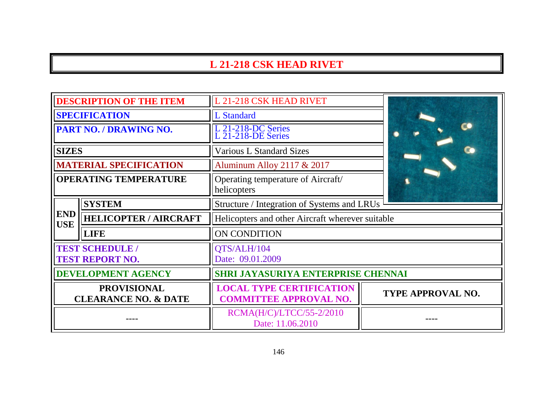### **L 21-218 CSK HEAD RIVET**

| <b>DESCRIPTION OF THE ITEM</b>                        |                                                  | L 21-218 CSK HEAD RIVET                                          |                   |
|-------------------------------------------------------|--------------------------------------------------|------------------------------------------------------------------|-------------------|
| <b>SPECIFICATION</b>                                  |                                                  | <b>L</b> Standard                                                |                   |
| PART NO. / DRAWING NO.                                |                                                  | L 21-218-DC Series<br>L 21-218-DE Series                         |                   |
| <b>SIZES</b>                                          |                                                  | <b>Various L Standard Sizes</b>                                  |                   |
|                                                       | <b>MATERIAL SPECIFICATION</b>                    | Aluminum Alloy 2117 & 2017                                       |                   |
| <b>OPERATING TEMPERATURE</b>                          |                                                  | Operating temperature of Aircraft/<br>helicopters                |                   |
|                                                       | <b>SYSTEM</b>                                    | Structure / Integration of Systems and LRUs                      |                   |
| <b>END</b><br><b>USE</b>                              | <b>HELICOPTER / AIRCRAFT</b>                     | Helicopters and other Aircraft wherever suitable                 |                   |
|                                                       | <b>LIFE</b>                                      | ON CONDITION                                                     |                   |
|                                                       | <b>TEST SCHEDULE /</b><br><b>TEST REPORT NO.</b> | QTS/ALH/104<br>Date: 09.01.2009                                  |                   |
| <b>DEVELOPMENT AGENCY</b>                             |                                                  | SHRI JAYASURIYA ENTERPRISE CHENNAI                               |                   |
| <b>PROVISIONAL</b><br><b>CLEARANCE NO. &amp; DATE</b> |                                                  | <b>LOCAL TYPE CERTIFICATION</b><br><b>COMMITTEE APPROVAL NO.</b> | TYPE APPROVAL NO. |
|                                                       |                                                  | RCMA(H/C)/LTCC/55-2/2010<br>Date: 11.06.2010                     |                   |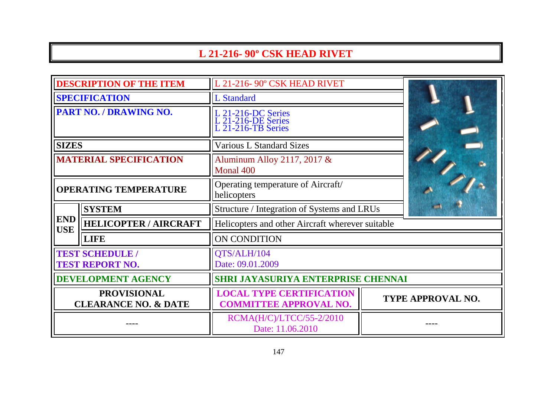# **L 21-216- 90º CSK HEAD RIVET**

| <b>DESCRIPTION OF THE ITEM</b>                        |                              | L 21-216-90° CSK HEAD RIVET                                      |                   |
|-------------------------------------------------------|------------------------------|------------------------------------------------------------------|-------------------|
| <b>SPECIFICATION</b>                                  |                              | <b>L</b> Standard                                                |                   |
| PART NO. / DRAWING NO.                                |                              | L 21-216-DC Series<br>L 21-216-DE Series<br>L 21-216-TB Series   |                   |
| <b>SIZES</b>                                          |                              | <b>Various L Standard Sizes</b>                                  |                   |
| <b>MATERIAL SPECIFICATION</b>                         |                              | Aluminum Alloy 2117, 2017 &<br>Monal 400                         |                   |
| <b>OPERATING TEMPERATURE</b>                          |                              | Operating temperature of Aircraft/<br>helicopters                |                   |
|                                                       | <b>SYSTEM</b>                | Structure / Integration of Systems and LRUs                      |                   |
| <b>END</b><br><b>USE</b>                              | <b>HELICOPTER / AIRCRAFT</b> | Helicopters and other Aircraft wherever suitable                 |                   |
|                                                       | <b>LIFE</b>                  | ON CONDITION                                                     |                   |
| <b>TEST SCHEDULE /</b><br><b>TEST REPORT NO.</b>      |                              | QTS/ALH/104<br>Date: 09.01.2009                                  |                   |
| <b>DEVELOPMENT AGENCY</b>                             |                              | SHRI JAYASURIYA ENTERPRISE CHENNAI                               |                   |
| <b>PROVISIONAL</b><br><b>CLEARANCE NO. &amp; DATE</b> |                              | <b>LOCAL TYPE CERTIFICATION</b><br><b>COMMITTEE APPROVAL NO.</b> | TYPE APPROVAL NO. |
|                                                       |                              | RCMA(H/C)/LTCC/55-2/2010<br>Date: 11.06.2010                     |                   |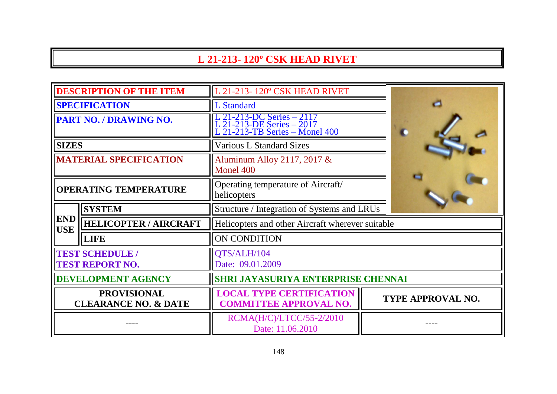### **L 21-213- 120º CSK HEAD RIVET**

| <b>DESCRIPTION OF THE ITEM</b>                        |                              | L 21-213-120° CSK HEAD RIVET                                                             |                   |  |
|-------------------------------------------------------|------------------------------|------------------------------------------------------------------------------------------|-------------------|--|
| <b>SPECIFICATION</b>                                  |                              | <b>L</b> Standard                                                                        |                   |  |
| PART NO. / DRAWING NO.                                |                              | L 21-213-DC Series – 2117<br>L 21-213-DE Series – 2017<br>L 21-213-TB Series – Monel 400 |                   |  |
| <b>SIZES</b>                                          |                              | <b>Various L Standard Sizes</b>                                                          |                   |  |
| <b>MATERIAL SPECIFICATION</b>                         |                              | Aluminum Alloy 2117, 2017 &<br>Monel 400                                                 |                   |  |
| <b>OPERATING TEMPERATURE</b>                          |                              | Operating temperature of Aircraft/<br>helicopters                                        |                   |  |
|                                                       | <b>SYSTEM</b>                | Structure / Integration of Systems and LRUs                                              |                   |  |
| <b>END</b><br><b>USE</b>                              | <b>HELICOPTER / AIRCRAFT</b> | Helicopters and other Aircraft wherever suitable                                         |                   |  |
|                                                       | <b>LIFE</b>                  | ON CONDITION                                                                             |                   |  |
| <b>TEST SCHEDULE /</b><br><b>TEST REPORT NO.</b>      |                              | QTS/ALH/104<br>Date: 09.01.2009                                                          |                   |  |
| <b>DEVELOPMENT AGENCY</b>                             |                              | SHRI JAYASURIYA ENTERPRISE CHENNAI                                                       |                   |  |
| <b>PROVISIONAL</b><br><b>CLEARANCE NO. &amp; DATE</b> |                              | <b>LOCAL TYPE CERTIFICATION</b><br><b>COMMITTEE APPROVAL NO.</b>                         | TYPE APPROVAL NO. |  |
|                                                       |                              | RCMA(H/C)/LTCC/55-2/2010<br>Date: 11.06.2010                                             |                   |  |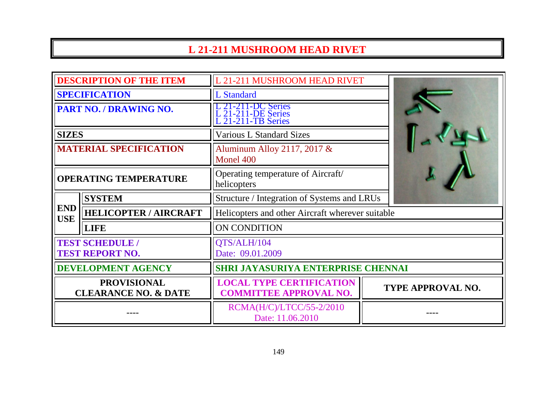# **L 21-211 MUSHROOM HEAD RIVET**

| <b>DESCRIPTION OF THE ITEM</b>                        |                              | L 21-211 MUSHROOM HEAD RIVET                                     |                   |
|-------------------------------------------------------|------------------------------|------------------------------------------------------------------|-------------------|
| <b>SPECIFICATION</b>                                  |                              | <b>L</b> Standard                                                |                   |
| PART NO. / DRAWING NO.                                |                              | C Series<br>21-211-DE Series<br>21-211-TB Series                 |                   |
| <b>SIZES</b>                                          |                              | <b>Various L Standard Sizes</b>                                  |                   |
| <b>MATERIAL SPECIFICATION</b>                         |                              | Aluminum Alloy 2117, 2017 &<br>Monel 400                         |                   |
| <b>OPERATING TEMPERATURE</b>                          |                              | Operating temperature of Aircraft/<br>helicopters                |                   |
|                                                       | <b>SYSTEM</b>                | Structure / Integration of Systems and LRUs                      |                   |
| <b>END</b><br><b>USE</b>                              | <b>HELICOPTER / AIRCRAFT</b> | Helicopters and other Aircraft wherever suitable                 |                   |
|                                                       | <b>LIFE</b>                  | <b>ON CONDITION</b>                                              |                   |
| <b>TEST SCHEDULE /</b><br><b>TEST REPORT NO.</b>      |                              | QTS/ALH/104<br>Date: 09.01.2009                                  |                   |
| <b>DEVELOPMENT AGENCY</b>                             |                              | SHRI JAYASURIYA ENTERPRISE CHENNAI                               |                   |
| <b>PROVISIONAL</b><br><b>CLEARANCE NO. &amp; DATE</b> |                              | <b>LOCAL TYPE CERTIFICATION</b><br><b>COMMITTEE APPROVAL NO.</b> | TYPE APPROVAL NO. |
|                                                       |                              | RCMA(H/C)/LTCC/55-2/2010<br>Date: 11.06.2010                     |                   |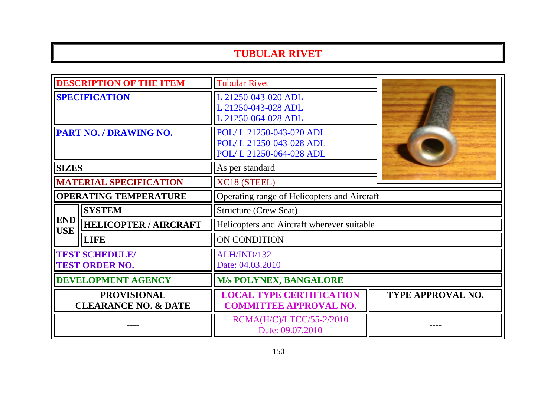### **TUBULAR RIVET**

| <b>DESCRIPTION OF THE ITEM</b>                        |                              | <b>Tubular Rivet</b>                                                          |                          |  |
|-------------------------------------------------------|------------------------------|-------------------------------------------------------------------------------|--------------------------|--|
| <b>SPECIFICATION</b>                                  |                              | L 21250-043-020 ADL<br>L 21250-043-028 ADL<br>L 21250-064-028 ADL             |                          |  |
| <b>PART NO. / DRAWING NO.</b>                         |                              | POL/L 21250-043-020 ADL<br>POL/L 21250-043-028 ADL<br>POL/L 21250-064-028 ADL |                          |  |
| <b>SIZES</b>                                          |                              | As per standard                                                               |                          |  |
| <b>MATERIAL SPECIFICATION</b>                         |                              | XC18 (STEEL)                                                                  |                          |  |
| <b>OPERATING TEMPERATURE</b>                          |                              | Operating range of Helicopters and Aircraft                                   |                          |  |
|                                                       | <b>SYSTEM</b>                | <b>Structure (Crew Seat)</b>                                                  |                          |  |
| <b>END</b><br><b>USE</b>                              | <b>HELICOPTER / AIRCRAFT</b> | Helicopters and Aircraft wherever suitable                                    |                          |  |
|                                                       | <b>LIFE</b>                  | ON CONDITION                                                                  |                          |  |
| <b>TEST SCHEDULE/</b><br><b>TEST ORDER NO.</b>        |                              | ALH/IND/132<br>Date: 04.03.2010                                               |                          |  |
| <b>DEVELOPMENT AGENCY</b>                             |                              | <b>M/s POLYNEX, BANGALORE</b>                                                 |                          |  |
| <b>PROVISIONAL</b><br><b>CLEARANCE NO. &amp; DATE</b> |                              | <b>LOCAL TYPE CERTIFICATION</b><br><b>COMMITTEE APPROVAL NO.</b>              | <b>TYPE APPROVAL NO.</b> |  |
|                                                       |                              | RCMA(H/C)/LTCC/55-2/2010<br>Date: 09.07.2010                                  |                          |  |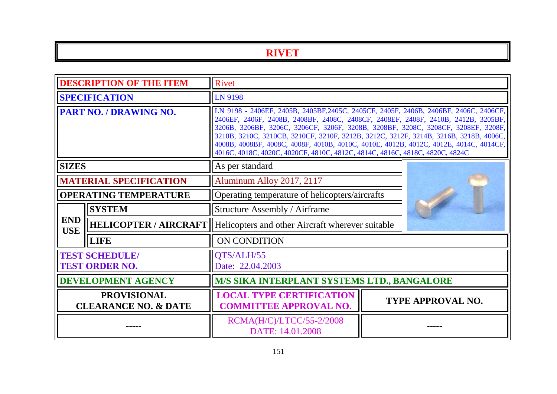# **RIVET**

| <b>DESCRIPTION OF THE ITEM</b>                        |                               | Rivet                                                                                                                                                                                                                                                                                                                                                                                                                                                                                                                            |  |                   |
|-------------------------------------------------------|-------------------------------|----------------------------------------------------------------------------------------------------------------------------------------------------------------------------------------------------------------------------------------------------------------------------------------------------------------------------------------------------------------------------------------------------------------------------------------------------------------------------------------------------------------------------------|--|-------------------|
| <b>SPECIFICATION</b>                                  |                               | <b>LN 9198</b>                                                                                                                                                                                                                                                                                                                                                                                                                                                                                                                   |  |                   |
| PART NO. / DRAWING NO.                                |                               | LN 9198 - 2406EF, 2405B, 2405BF, 2405C, 2405CF, 2405F, 2406B, 2406BF, 2406C, 2406CF,<br>2406EF, 2406F, 2408B, 2408BF, 2408C, 2408CF, 2408EF, 2408F, 2410B, 2412B, 3205BF,<br>3206B, 3206BF, 3206C, 3206CF, 3206F, 3208B, 3208BF, 3208C, 3208CF, 3208EF, 3208F,<br>3210B, 3210C, 3210CB, 3210CF, 3210F, 3212B, 3212C, 3212F, 3214B, 3216B, 3218B, 4006C,<br>4008B, 4008BF, 4008C, 4008F, 4010B, 4010C, 4010E, 4012B, 4012C, 4012E, 4014C, 4014CF,<br>4016C, 4018C, 4020C, 4020CF, 4810C, 4812C, 4814C, 4816C, 4818C, 4820C, 4824C |  |                   |
| <b>SIZES</b>                                          |                               | As per standard                                                                                                                                                                                                                                                                                                                                                                                                                                                                                                                  |  |                   |
|                                                       | <b>MATERIAL SPECIFICATION</b> | Aluminum Alloy 2017, 2117                                                                                                                                                                                                                                                                                                                                                                                                                                                                                                        |  |                   |
| <b>OPERATING TEMPERATURE</b>                          |                               | Operating temperature of helicopters/aircrafts                                                                                                                                                                                                                                                                                                                                                                                                                                                                                   |  |                   |
|                                                       | <b>SYSTEM</b>                 | Structure Assembly / Airframe                                                                                                                                                                                                                                                                                                                                                                                                                                                                                                    |  |                   |
| <b>END</b><br><b>USE</b>                              |                               | <b>HELICOPTER / AIRCRAFT</b>   Helicopters and other Aircraft wherever suitable                                                                                                                                                                                                                                                                                                                                                                                                                                                  |  |                   |
|                                                       | <b>LIFE</b>                   | ON CONDITION                                                                                                                                                                                                                                                                                                                                                                                                                                                                                                                     |  |                   |
| <b>TEST SCHEDULE/</b><br><b>TEST ORDER NO.</b>        |                               | QTS/ALH/55<br>Date: 22.04.2003                                                                                                                                                                                                                                                                                                                                                                                                                                                                                                   |  |                   |
| <b>DEVELOPMENT AGENCY</b>                             |                               | M/S SIKA INTERPLANT SYSTEMS LTD., BANGALORE                                                                                                                                                                                                                                                                                                                                                                                                                                                                                      |  |                   |
| <b>PROVISIONAL</b><br><b>CLEARANCE NO. &amp; DATE</b> |                               | <b>LOCAL TYPE CERTIFICATION</b><br><b>COMMITTEE APPROVAL NO.</b>                                                                                                                                                                                                                                                                                                                                                                                                                                                                 |  | TYPE APPROVAL NO. |
|                                                       |                               | RCMA(H/C)/LTCC/55-2/2008<br>DATE: 14.01.2008                                                                                                                                                                                                                                                                                                                                                                                                                                                                                     |  |                   |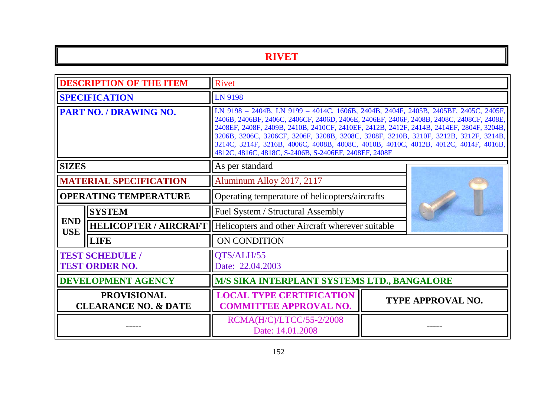### **RIVET**

| <b>DESCRIPTION OF THE ITEM</b>                        |                              | Rivet                                                                                                                                                                                                                                                                                                                                                                                                                                                                                                             |  |                          |
|-------------------------------------------------------|------------------------------|-------------------------------------------------------------------------------------------------------------------------------------------------------------------------------------------------------------------------------------------------------------------------------------------------------------------------------------------------------------------------------------------------------------------------------------------------------------------------------------------------------------------|--|--------------------------|
| <b>SPECIFICATION</b>                                  |                              | LN 9198                                                                                                                                                                                                                                                                                                                                                                                                                                                                                                           |  |                          |
| PART NO. / DRAWING NO.                                |                              | LN 9198 - 2404B, LN 9199 - 4014C, 1606B, 2404B, 2404F, 2405B, 2405BF, 2405C, 2405F,<br>2406B, 2406BF, 2406C, 2406CF, 2406D, 2406E, 2406EF, 2406F, 2408B, 2408C, 2408CF, 2408E,<br>2408EF, 2408F, 2409B, 2410B, 2410CF, 2410EF, 2412B, 2412F, 2414B, 2414EF, 2804F, 3204B,<br>3206B, 3206C, 3206CF, 3206F, 3208B, 3208C, 3208F, 3210B, 3210F, 3212B, 3212F, 3214B,<br>3214C, 3214F, 3216B, 4006C, 4008B, 4008C, 4010B, 4010C, 4012B, 4012C, 4014F, 4016B,<br>4812C, 4816C, 4818C, S-2406B, S-2406EF, 2408EF, 2408F |  |                          |
| <b>SIZES</b>                                          |                              | As per standard                                                                                                                                                                                                                                                                                                                                                                                                                                                                                                   |  |                          |
| <b>MATERIAL SPECIFICATION</b>                         |                              | Aluminum Alloy 2017, 2117                                                                                                                                                                                                                                                                                                                                                                                                                                                                                         |  |                          |
| <b>OPERATING TEMPERATURE</b>                          |                              | Operating temperature of helicopters/aircrafts                                                                                                                                                                                                                                                                                                                                                                                                                                                                    |  |                          |
|                                                       | <b>SYSTEM</b>                | <b>Fuel System / Structural Assembly</b>                                                                                                                                                                                                                                                                                                                                                                                                                                                                          |  |                          |
| <b>END</b><br><b>USE</b>                              | <b>HELICOPTER / AIRCRAFT</b> | Helicopters and other Aircraft wherever suitable                                                                                                                                                                                                                                                                                                                                                                                                                                                                  |  |                          |
|                                                       | <b>LIFE</b>                  | ON CONDITION                                                                                                                                                                                                                                                                                                                                                                                                                                                                                                      |  |                          |
| <b>TEST SCHEDULE /</b><br><b>TEST ORDER NO.</b>       |                              | QTS/ALH/55<br>Date: 22.04.2003                                                                                                                                                                                                                                                                                                                                                                                                                                                                                    |  |                          |
| <b>DEVELOPMENT AGENCY</b>                             |                              | <b>M/S SIKA INTERPLANT SYSTEMS LTD., BANGALORE</b>                                                                                                                                                                                                                                                                                                                                                                                                                                                                |  |                          |
| <b>PROVISIONAL</b><br><b>CLEARANCE NO. &amp; DATE</b> |                              | <b>LOCAL TYPE CERTIFICATION</b><br><b>COMMITTEE APPROVAL NO.</b>                                                                                                                                                                                                                                                                                                                                                                                                                                                  |  | <b>TYPE APPROVAL NO.</b> |
|                                                       |                              | RCMA(H/C)/LTCC/55-2/2008<br>Date: 14.01.2008                                                                                                                                                                                                                                                                                                                                                                                                                                                                      |  |                          |